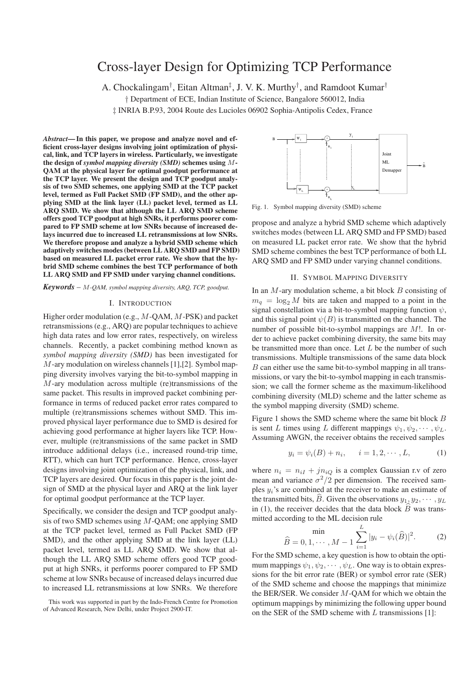# Cross-layer Design for Optimizing TCP Performance

A. Chockalingam† , Eitan Altman‡ , J. V. K. Murthy† , and Ramdoot Kumar†

† Department of ECE, Indian Institute of Science, Bangalore 560012, India

‡ INRIA B.P.93, 2004 Route des Lucioles 06902 Sophia-Antipolis Cedex, France

*Abstract***— In this paper, we propose and analyze novel and efficient cross-layer designs involving joint optimization of physical, link, and TCP layers in wireless. Particularly, we investigate the design of** *symbol mapping diversity (SMD)* **schemes using** M**-QAM at the physical layer for optimal goodput performance at the TCP layer. We present the design and TCP goodput analysis of two SMD schemes, one applying SMD at the TCP packet level, termed as Full Packet SMD (FP SMD), and the other applying SMD at the link layer (LL) packet level, termed as LL ARQ SMD. We show that although the LL ARQ SMD scheme offers good TCP goodput at high SNRs, it performs poorer compared to FP SMD scheme at low SNRs because of increased delays incurred due to increased LL retransmissions at low SNRs. We therefore propose and analyze a hybrid SMD scheme which adaptively switches modes (between LL ARQ SMD and FP SMD) based on measured LL packet error rate. We show that the hybrid SMD scheme combines the best TCP performance of both LL ARQ SMD and FP SMD under varying channel conditions.**

*Keywords* – M*-QAM, symbol mapping diversity, ARQ, TCP, goodput.*

## I. INTRODUCTION

Higher order modulation (e.g., M-QAM, M-PSK) and packet retransmissions (e.g., ARQ) are popular techniques to achieve high data rates and low error rates, respectively, on wireless channels. Recently, a packet combining method known as *symbol mapping diversity (SMD)* has been investigated for M-ary modulation on wireless channels [1],[2]. Symbol mapping diversity involves varying the bit-to-symbol mapping in M-ary modulation across multiple (re)transmissions of the same packet. This results in improved packet combining performance in terms of reduced packet error rates compared to multiple (re)transmissions schemes without SMD. This improved physical layer performance due to SMD is desired for achieving good performance at higher layers like TCP. However, multiple (re)transmissions of the same packet in SMD introduce additional delays (i.e., increased round-trip time, RTT), which can hurt TCP performance. Hence, cross-layer designs involving joint optimization of the physical, link, and TCP layers are desired. Our focus in this paper is the joint design of SMD at the physical layer and ARQ at the link layer for optimal goodput performance at the TCP layer.

Specifically, we consider the design and TCP goodput analysis of two SMD schemes using  $M$ -QAM; one applying SMD at the TCP packet level, termed as Full Packet SMD (FP SMD), and the other applying SMD at the link layer (LL) packet level, termed as LL ARQ SMD. We show that although the LL ARQ SMD scheme offers good TCP goodput at high SNRs, it performs poorer compared to FP SMD scheme at low SNRs because of increased delays incurred due to increased LL retransmissions at low SNRs. We therefore



Fig. 1. Symbol mapping diversity (SMD) scheme

propose and analyze a hybrid SMD scheme which adaptively switches modes (between LL ARQ SMD and FP SMD) based on measured LL packet error rate. We show that the hybrid SMD scheme combines the best TCP performance of both LL ARQ SMD and FP SMD under varying channel conditions.

#### II. SYMBOL MAPPING DIVERSITY

In an M-ary modulation scheme, a bit block B consisting of  $m_q = \log_2 M$  bits are taken and mapped to a point in the signal constellation via a bit-to-symbol mapping function  $\psi$ , and this signal point  $\psi(B)$  is transmitted on the channel. The number of possible bit-to-symbol mappings are <sup>M</sup>!. In order to achieve packet combining diversity, the same bits may be transmitted more than once. Let  $L$  be the number of such transmissions. Multiple transmissions of the same data block B can either use the same bit-to-symbol mapping in all transmissions, or vary the bit-to-symbol mapping in each transmission; we call the former scheme as the maximum-likelihood combining diversity (MLD) scheme and the latter scheme as the symbol mapping diversity (SMD) scheme.

Figure 1 shows the SMD scheme where the same bit block B is sent L times using L different mappings  $\psi_1, \psi_2, \cdots, \psi_L$ . Assuming AWGN, the receiver obtains the received samples

$$
y_i = \psi_i(B) + n_i, \quad i = 1, 2, \cdots, L,
$$
 (1)

where  $n_i = n_{iI} + j n_{iO}$  is a complex Gaussian r.v of zero mean and variance  $\sigma^2/2$  per dimension. The received samples  $y_i$ 's are combined at the receiver to make an estimate of the transmitted bits,  $\hat{B}$ . Given the observations  $y_1, y_2, \dots, y_L$ in (1), the receiver decides that the data block  $\overline{B}$  was transmitted according to the ML decision rule

$$
\hat{B} = 0, 1, \cdots, M - 1 \sum_{i=1}^{L} |y_i - \psi_i(\hat{B})|^2.
$$
 (2)

For the SMD scheme, a key question is how to obtain the optimum mappings  $\psi_1, \psi_2, \cdots, \psi_L$ . One way is to obtain expressions for the bit error rate (BER) or symbol error rate (SER) of the SMD scheme and choose the mappings that minimize the BER/SER. We consider M-QAM for which we obtain the optimum mappings by minimizing the following upper bound on the SER of the SMD scheme with  $L$  transmissions [1]:

This work was supported in part by the Indo-French Centre for Promotion of Advanced Research, New Delhi, under Project 2900-IT.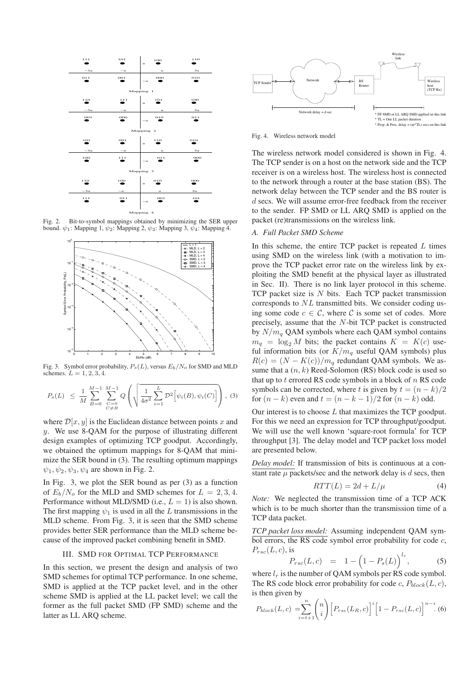

Fig. 2. Bit-to-symbol mappings obtained by minimizing the SER upper bound.  $\psi_1$ : Mapping 1,  $\psi_2$ : Mapping 2,  $\psi_3$ : Mapping 3,  $\psi_4$ : Mapping 4.



Fig. 3. Symbol error probability,  $P_s(L)$ , versus  $E_b/N_o$  for SMD and MLD schemes.  $L = 1, 2, 3, 4$ .

$$
P_s(L) \leq \frac{1}{M} \sum_{B=0}^{M-1} \sum_{\substack{C=0 \\ C \neq B}}^{M-1} Q\left(\sqrt{\frac{1}{4\sigma^2} \sum_{i=1}^L \mathcal{D}^2 \left[\psi_i(B), \psi_i(C)\right]}\right), (3)
$$

where  $\mathcal{D}[x, y]$  is the Euclidean distance between points x and y. We use 8-QAM for the purpose of illustrating different design examples of optimizing TCP goodput. Accordingly, we obtained the optimum mappings for 8-QAM that minimize the SER bound in (3). The resulting optimum mappings  $\psi_1, \psi_2, \psi_3, \psi_4$  are shown in Fig. 2.

In Fig. 3, we plot the SER bound as per (3) as a function of  $E_b/N_o$  for the MLD and SMD schemes for  $L = 2, 3, 4$ . Performance without MLD/SMD (i.e.,  $L = 1$ ) is also shown. The first mapping  $\psi_1$  is used in all the L transmissions in the MLD scheme. From Fig. 3, it is seen that the SMD scheme provides better SER performance than the MLD scheme because of the improved packet combining benefit in SMD.

# III. SMD FOR OPTIMAL TCP PERFORMANCE

In this section, we present the design and analysis of two SMD schemes for optimal TCP performance. In one scheme, SMD is applied at the TCP packet level, and in the other scheme SMD is applied at the LL packet level; we call the former as the full packet SMD (FP SMD) scheme and the latter as LL ARQ scheme.



Fig. 4. Wireless network model

The wireless network model considered is shown in Fig. 4. The TCP sender is on a host on the network side and the TCP receiver is on a wireless host. The wireless host is connected to the network through a router at the base station (BS). The network delay between the TCP sender and the BS router is d secs. We will assume error-free feedback from the receiver to the sender. FP SMD or LL ARQ SMD is applied on the packet (re)transmissions on the wireless link.

#### *A. Full Packet SMD Scheme*

In this scheme, the entire TCP packet is repeated  $L$  times using SMD on the wireless link (with a motivation to improve the TCP packet error rate on the wireless link by exploiting the SMD benefit at the physical layer as illustrated in Sec. II). There is no link layer protocol in this scheme. TCP packet size is  $N$  bits. Each TCP packet transmission corresponds to NL transmitted bits. We consider coding using some code  $c \in \mathcal{C}$ , where  $\mathcal C$  is some set of codes. More precisely, assume that the N-bit TCP packet is constructed by  $N/m_a$  QAM symbols where each QAM symbol contains  $m_q = \log_2 M$  bits; the packet contains  $K = K(c)$  useful information bits (or  $K/m_q$  useful QAM symbols) plus  $R(c)=(N - K(c))/m_q$  redundant QAM symbols. We assume that a  $(n, k)$  Reed-Solomon (RS) block code is used so that up to  $t$  errored RS code symbols in a block of  $n$  RS code symbols can be corrected, where t is given by  $t = (n - k)/2$ for  $(n - k)$  even and  $t = (n - k - 1)/2$  for  $(n - k)$  odd.

Our interest is to choose  $L$  that maximizes the TCP goodput. For this we need an expression for TCP throughput/goodput. We will use the well known 'square-root formula' for TCP throughput [3]. The delay model and TCP packet loss model are presented below.

*Delay model:* If transmission of bits is continuous at a constant rate  $\mu$  packets/sec and the network delay is d secs, then

$$
RTT(L) = 2d + L/\mu \tag{4}
$$

*Note:* We neglected the transmission time of a TCP ACK which is to be much shorter than the transmission time of a TCP data packet.

*TCP packet loss model:* Assuming independent QAM symbol errors, the RS code symbol error probability for code  $c$ ,  $P_{rsc}(L, c)$ , is

$$
P_{rsc}(L,c) = 1 - \left(1 - P_s(L)\right)^{l_r},\tag{5}
$$

where  $l_r$  is the number of QAM symbols per RS code symbol. The RS code block error probability for code c,  $P_{block}(L, c)$ , is then given by

$$
P_{block}(L, c) = \sum_{i=t+1}^{n} {n \choose i} \Big[ P_{rsc}(L_R, c) \Big]^i \Big[ 1 - P_{rsc}(L, c) \Big]^{n-i} .
$$
 (6)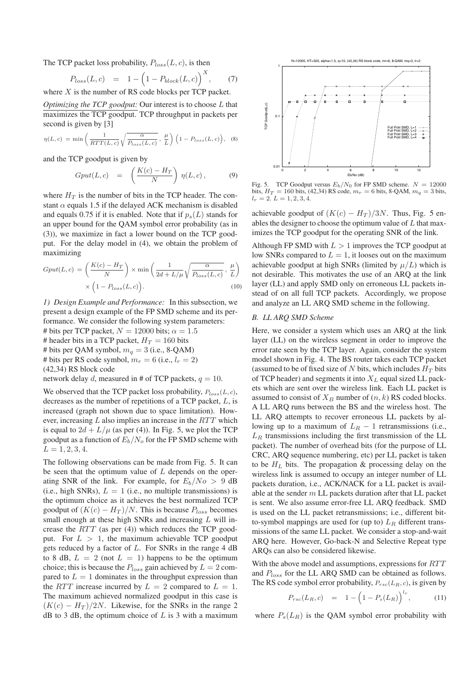The TCP packet loss probability,  $P_{loss}(L, c)$ , is then

$$
P_{loss}(L, c) = 1 - \left(1 - P_{block}(L, c)\right)^X, \tag{7}
$$
 is the number of BS code blocks are TCP poslet.

where  $X$  is the number of RS code blocks per TCP packet.

*Optimizing the TCP goodput:* Our interest is to choose L that maximizes the TCP goodput. TCP throughput in packets per second is given by [3]

$$
\eta(L, c) = \min\left(\frac{1}{RTT(L, c)}\sqrt{\frac{\alpha}{P_{loss}(L, c)}}, \frac{\mu}{L}\right) \left(1 - P_{loss}(L, c)\right), \quad (8)
$$

and the TCP goodput is given by

$$
Gput(L, c) = \left(\frac{K(c) - H_T}{N}\right) \eta(L, c), \tag{9}
$$

where  $H_T$  is the number of bits in the TCP header. The constant  $\alpha$  equals 1.5 if the delayed ACK mechanism is disabled and equals 0.75 if it is enabled. Note that if  $p_s(L)$  stands for an upper bound for the QAM symbol error probability (as in (3)), we maximize in fact a lower bound on the TCP goodput. For the delay model in (4), we obtain the problem of maximizing

$$
Gput(L, c) = \left(\frac{K(c) - H_T}{N}\right) \times \min\left(\frac{1}{2d + L/\mu}\sqrt{\frac{\alpha}{P_{loss}(L, c)}}, \frac{\mu}{L}\right) \times \left(1 - P_{loss}(L, c)\right).
$$
\n(10)

*1) Design Example and Performance:* In this subsection, we present a design example of the FP SMD scheme and its performance. We consider the following system parameters: # bits per TCP packet,  $N = 12000$  bits;  $\alpha = 1.5$ # header bits in a TCP packet,  $H_T = 160$  bits # bits per QAM symbol,  $m_q = 3$  (i.e., 8-QAM) # bits per RS code symbol,  $m_r = 6$  (i.e.,  $l_r = 2$ ) (42,34) RS block code network delay d, measured in # of TCP packets,  $q = 10$ .

We observed that the TCP packet loss probability,  $P_{loss}(L, c)$ , decreases as the number of repetitions of a TCP packet, L, is increased (graph not shown due to space limitation). However, increasing  $L$  also implies an increase in the  $RTT$  which is equal to  $2d + L/\mu$  (as per (4)). In Fig. 5, we plot the TCP goodput as a function of  $E_b/N_o$  for the FP SMD scheme with  $L = 1, 2, 3, 4.$ 

The following observations can be made from Fig. 5. It can be seen that the optimum value of  $L$  depends on the operating SNR of the link. For example, for  $E_b/N_o > 9$  dB (i.e., high SNRs),  $L = 1$  (i.e., no multiple transmissions) is the optimum choice as it achieves the best normalized TCP goodput of  $(K(c) - H_T)/N$ . This is because  $P_{loss}$  becomes small enough at these high SNRs and increasing  $L$  will increase the  $RTT$  (as per (4)) which reduces the TCP goodput. For  $L > 1$ , the maximum achievable TCP goodput gets reduced by a factor of  $L$ . For SNRs in the range 4 dB to 8 dB,  $L = 2$  (not  $L = 1$ ) happens to be the optimum choice; this is because the  $P_{loss}$  gain achieved by  $L = 2$  compared to  $L = 1$  dominates in the throughput expression than the RTT increase incurred by  $L = 2$  compared to  $L = 1$ . The maximum achieved normalized goodput in this case is  $(K(c) - H_T)/2N$ . Likewise, for the SNRs in the range 2  $dB$  to 3 dB, the optimum choice of L is 3 with a maximum



Fig. 5. TCP Goodput versus  $E_b/N_0$  for FP SMD scheme.  $N = 12000$ bits,  $H_T = 160$  bits, (42,34) RS code,  $m_r = 6$  bits, 8-QAM,  $m_q = 3$  bits,  $l_r = 2. L = 1, 2, 3, 4.$ 

achievable goodput of  $(K(c) - H_T)/3N$ . Thus, Fig. 5 enables the designer to choose the optimum value of  $L$  that maximizes the TCP goodput for the operating SNR of the link.

Although FP SMD with  $L > 1$  improves the TCP goodput at low SNRs compared to  $L = 1$ , it looses out on the maximum achievable goodput at high SNRs (limited by  $\mu/L$ ) which is not desirable. This motivates the use of an ARQ at the link layer (LL) and apply SMD only on erroneous LL packets instead of on all full TCP packets. Accordingly, we propose and analyze an LL ARQ SMD scheme in the following.

# *B. LL ARQ SMD Scheme*

Here, we consider a system which uses an ARQ at the link layer (LL) on the wireless segment in order to improve the error rate seen by the TCP layer. Again, consider the system model shown in Fig. 4. The BS router takes each TCP packet (assumed to be of fixed size of  $N$  bits, which includes  $H_T$  bits of TCP header) and segments it into  $X_L$  equal sized LL packets which are sent over the wireless link. Each LL packet is assumed to consist of  $X_B$  number of  $(n, k)$  RS coded blocks. A LL ARQ runs between the BS and the wireless host. The LL ARQ attempts to recover erroneous LL packets by allowing up to a maximum of  $L_R - 1$  retransmissions (i.e.,  $L_R$  transmissions including the first transmission of the LL packet). The number of overhead bits (for the purpose of LL CRC, ARQ sequence numbering, etc) per LL packet is taken to be  $H_L$  bits. The propagation & processing delay on the wireless link is assumed to occupy an integer number of LL packets duration, i.e., ACK/NACK for a LL packet is available at the sender  $m$  LL packets duration after that LL packet is sent. We also assume error-free LL ARQ feedback. SMD is used on the LL packet retransmissions; i.e., different bitto-symbol mappings are used for (up to)  $L_R$  different transmissions of the same LL packet. We consider a stop-and-wait ARQ here. However, Go-back-N and Selective Repeat type ARQs can also be considered likewise.

With the above model and assumptions, expressions for  $RTT$ and  $P_{loss}$  for the LL ARQ SMD can be obtained as follows. The RS code symbol error probability, P*rsc*(L*R*, c), is given by

$$
P_{rsc}(L_R, c) = 1 - \left(1 - P_s(L_R)\right)^{l_r}, \quad (11)
$$

where  $P_s(L_R)$  is the QAM symbol error probability with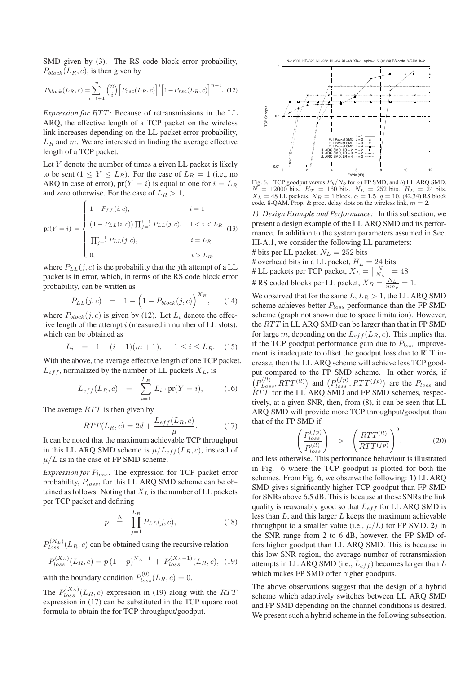SMD given by (3). The RS code block error probability,  $P_{block}(L_R, c)$ , is then given by

$$
P_{block}(L_R, c) = \sum_{i=t+1}^{n} {n \choose i} \left[ P_{rsc}(L_R, c) \right]^i \left[ 1 - P_{rsc}(L_R, c) \right]^{n-i}.
$$
 (12)

*Expression for RTT:* Because of retransmissions in the LL ARQ, the effective length of a TCP packet on the wireless link increases depending on the LL packet error probability,  $L_R$  and  $m$ . We are interested in finding the average effective length of a TCP packet.

Let  $Y$  denote the number of times a given LL packet is likely to be sent  $(1 \le Y \le L_R)$ . For the case of  $L_R = 1$  (i.e., no ARQ in case of error),  $pr(Y = i)$  is equal to one for  $i = L_R$ and zero otherwise. For the case of  $L_R > 1$ ,

$$
pr(Y = i) = \begin{cases} 1 - P_{LL}(i, c), & i = 1 \\ (1 - P_{LL}(i, c)) \prod_{j=1}^{i-1} P_{LL}(j, c), & 1 < i < L_R \\ \prod_{j=1}^{i-1} P_{LL}(j, c), & i = L_R \\ 0, & i > L_R. \end{cases}
$$
 (13)

where  $P_{LL}(j, c)$  is the probability that the jth attempt of a LL packet is in error, which, in terms of the RS code block error probability, can be written as

$$
P_{LL}(j,c) = 1 - \left(1 - P_{block}(j,c)\right)^{X_B}, \quad (14)
$$

where  $P_{block}(j, c)$  is given by (12). Let  $L_i$  denote the effective length of the attempt i (measured in number of LL slots), which can be obtained as

$$
L_i = 1 + (i - 1)(m + 1), \quad 1 \le i \le L_R. \tag{15}
$$

With the above, the average effective length of one TCP packet,  $L_{eff}$ , normalized by the number of LL packets  $X_L$ , is

$$
L_{eff}(L_R, c) = \sum_{i=1}^{L_R} L_i \cdot \text{pr}(Y = i), \quad (16)
$$

The average  $RTT$  is then given by

$$
RTT(L_R, c) = 2d + \frac{L_{eff}(L_R, c)}{\mu}.
$$
 (17)

It can be noted that the maximum achievable TCP throughput in this LL ARQ SMD scheme is  $\mu/L_{eff}(L_R, c)$ , instead of  $\mu/L$  as in the case of FP SMD scheme.

*Expression for*  $P_{loss}$ : The expression for TCP packet error probability,  $P_{loss}$ , for this LL ARQ SMD scheme can be obtained as follows. Noting that  $X_L$  is the number of LL packets per TCP packet and defining

$$
p \triangleq \prod_{j=1}^{L_R} P_{LL}(j, c), \qquad (18)
$$

 $P_{loss}^{(X_L)}(L_R, c)$  can be obtained using the recursive relation

$$
P_{loss}^{(X_L)}(L_R, c) = p(1-p)^{X_L - 1} + P_{loss}^{(X_L - 1)}(L_R, c), \tag{19}
$$

with the boundary condition  $P_{loss}^{(0)}(L_R, c) = 0.$ 

The  $P_{loss}^{(X_L)}(L_R, c)$  expression in (19) along with the *RTT*<br>expression in (17) can be substituted in the TCP square root expression in (17) can be substituted in the TCP square root formula to obtain the for TCP throughput/goodput.



Fig. 6. TCP goodput versus  $E_b/N_o$  for a) FP SMD, and b) LL ARQ SMD.  $N = 12000$  bits.  $H_T = 160$  bits.  $N_L = 252$  bits.  $H_L = 24$  bits.  $X_L = 48$  LL packets.  $X_B = 1$  block.  $\alpha = 1.5$ .  $q = 10$ . (42,34) RS block code. 8-QAM. Prop. & proc. delay slots on the wireless link,  $m = 2$ .

*1) Design Example and Performance:* In this subsection, we present a design example of the LL ARQ SMD and its performance. In addition to the system parameters assumed in Sec. III-A.1, we consider the following LL parameters:

# bits per LL packet,  $N_L = 252$  bits<br># overhead bits in a LL packet,  $H_L = 24$  bits # overhead bits in a LL packet,  $H_L = 24$  bits<br># LL packets per TCP packet,  $X_t = \lceil N \rceil$ 

# LL packets per TCP packet,  $X_L = \left[\frac{N}{N_L}\right]$ 

 $#$  RS coded blocks per LL packet,  $X_B = \frac{N_L}{nm_r} = 1$ .

We observed that for the same  $L, L_R > 1$ , the LL ARQ SMD scheme achieves better  $P_{loss}$  performance than the FP SMD scheme (graph not shown due to space limitation). However, the  $RTT$  in LL ARQ SMD can be larger than that in FP SMD for large m, depending on the  $L_{eff}(L_R, c)$ . This implies that if the TCP goodput performance gain due to  $P_{loss}$  improvement is inadequate to offset the goodput loss due to RTT increase, then the LL ARQ scheme will achieve less TCP goodput compared to the FP SMD scheme. In other words, if  $(P_{Loss}^{(ll)}, RTT^{(ll)})$  and  $(P_{loss}^{(fp)}, RTT^{(fp)})$  are the  $P_{loss}$  and  $RTT$  for the LL ARQ SMD and FP SMD schemes, respectively, at a given SNR, then, from (8), it can be seen that LL ARQ SMD will provide more TCP throughput/goodput than that of the FP SMD if

$$
\left(\frac{P_{loss}^{(fp)}}{P_{loss}^{(ll)}}\right) \quad > \quad \left(\frac{RTT^{(ll)}}{RTT^{(fp)}}\right)^2,\tag{20}
$$

and less otherwise. This performance behaviour is illustrated in Fig. 6 where the TCP goodput is plotted for both the schemes. From Fig. 6, we observe the following: **1)** LL ARQ SMD gives significantly higher TCP goodput than FP SMD for SNRs above 6.5 dB. This is because at these SNRs the link quality is reasonably good so that  $L_{eff}$  for LL ARQ SMD is less than L, and this larger L keeps the maximum achievable throughput to a smaller value (i.e.,  $\mu/L$ ) for FP SMD. 2) In the SNR range from 2 to 6 dB, however, the FP SMD offers higher goodput than LL ARQ SMD. This is because in this low SNR region, the average number of retransmission attempts in LL ARQ SMD (i.e.,  $L_{eff}$ ) becomes larger than  $L$ which makes FP SMD offer higher goodputs.

The above observations suggest that the design of a hybrid scheme which adaptively switches between LL ARQ SMD and FP SMD depending on the channel conditions is desired. We present such a hybrid scheme in the following subsection.